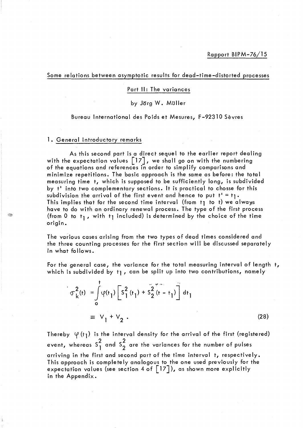Some relations between asymptotic results for dead-time-distorted processes

#### Part **Il:** The variances

### by Jërg W. Müller

#### Bureau International des Poids et Mesures, F-92310 Sèvres

### 1. General introductory remarks

As this second part is a direct sequel to the earlier report dealing with the expectation values  $\begin{bmatrix} 17 \end{bmatrix}$ , we shall go on with the numbering of the equations and references in order to simplify comparisons and minimize repetitions. The basic approach is the same as before: the tota 1 measuring time t, which is supposed to be sufficiently long, is subdivided by t' into two complementary sections. It is practical to chosse for this subdivision the arrival of the first event and hence to put  $t' = t_1$ . This implies that for the second time interval (from  $t_1$  to t) we always have to do with an ordinary renewal process. The type of the first process (from 0 to  $t_1$ , with  $t_1$  included) is determined by the choice of the time origin.

The various cases arising from the two types of dead times considered and the three counting processes for the first section will be discussed separately in what follows.

For the general case, the variance for the total measuring interval of length t, which is subdivided by t1, can be split up into two contributions, namely

$$
\sigma_{k}^{2}(t) = \int_{0}^{t} \phi(t_{1}) \left[ S_{1}^{2}(t_{1}) + S_{2}^{2}(t - t_{1}) \right] dt_{1}
$$
\n
$$
\equiv V_{1} + V_{2}.
$$
\n(28)

Thereby  $\varphi(t_1)$  is the interval density for the arrival of the first (registered) event, whereas  $S_1^2$  and  $S_2^2$  are the variances for the number of pulses arriving in the first and second part of the time interval t, respectively. This approach is completely analogous to the one used previously for the expectation values (see section 4 of  $\lceil 17 \rceil$ ), as shown more explicitly in the Appendix.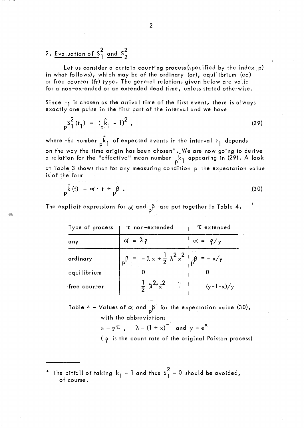# 2. Evaluation of  $S_1^2$  and  $S_2^2$

49

Let us consider a certain counting process (specified by the index p) in what follows), which may be of the ordinary (or), equilibrium (eq) or free counter (fr) type. The general relations given below are valid for a non-extended or an extended dead time, unless stated otherwise.

Since  $t_1$  is chosen as the arrival time of the first event, there is always exactly one pulse in the first part of the interval and we have

$$
p^{S_1^2(t_1)} = (p^{\hat{k}}_1 - 1)^2,
$$
 (29)

where the number  $\mathop{\hat{\mathsf k}}\nolimits_{\mathsf l}$  of expected events in the interval  $\mathsf t_{\mathsf l}$  depends on the way the time origin has been chosen\*  $_{\centerdot}\,$  We are now going to derive a relation for the "effective" mean number <sub>"k1</sub> appearing in (29). A look at Table 3 shows that for any measuring condition p the expectation value is of the form

$$
p^{\hat{k}(t)} = \alpha \cdot t + p^{\beta} \tag{30}
$$

The explicit expressions for  $\propto$  and  $_{\sf p}$  $\upbeta$  are put together in Table 4.

| Type of process | T non-extended                                                                       | <b><i>C</i></b> extended           |
|-----------------|--------------------------------------------------------------------------------------|------------------------------------|
| any             | $\alpha = \lambda \rho$                                                              | $\sim$ $\alpha$ = $\frac{\rho}{y}$ |
| ordinary        | $_{p} \beta = -\lambda x + \frac{1}{2} \lambda^{2} x^{2} + \frac{1}{2} \beta = -x/y$ |                                    |
| equilibrium     |                                                                                      |                                    |
| free counter    | $\frac{1}{2} \gamma^2 \chi^2$ $\frac{1}{2}$ 1                                        | $(y-1-x)/y$                        |

Table 4 – Values of  $\propto$  and  $_{\sf p}$  for the expectation value (30), with the abbreviations

$$
x = p \tau
$$
,  $\lambda = (1 + x)^{-1}$  and  $y = e^{x}$ 

 $(q$  is the count rate of the original Poisson process)

\* The pitfall of taking  $k_1 = 1$  and thus  $S_1^2 = 0$  should be avoided, of course.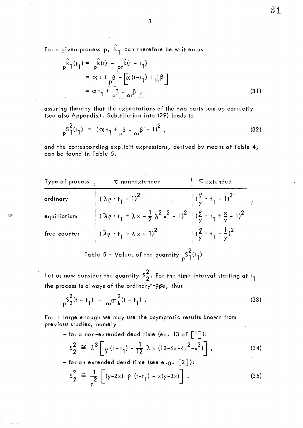$31$ 

For a given process p,  $\hat{k}_{\parallel}$  can therefore be written as

$$
p^{\hat{k}}1^{(t_1)} = p^{\hat{k}(t_1)} - \sigma_r^{\hat{k}(t - t_1)}
$$
  

$$
= \sigma_t + \sigma_r^{\beta} - [\sigma_t(t - t_1) + \sigma_r^{\beta}]
$$
  

$$
= \sigma_t + \sigma_r^{\beta} - \sigma_r^{\beta}
$$
 (31)

assuring thereby that the expectations of the two parts sum up correctly (see also Appendix). Substitution into (29) leads to

3

$$
P_{p}S_{1}^{2}(t_{1}) = (\alpha t_{1} + P_{p}B - \alpha t_{1}B - 1)^{2}, \qquad (32)
$$

and the corresponding explicit expressions, derived by means of Table 4, con be found in Table 5.

| Type of process                               | $\tau$ non-extended                                                                                                                               | Textended                                            |
|-----------------------------------------------|---------------------------------------------------------------------------------------------------------------------------------------------------|------------------------------------------------------|
| ordinary                                      | $^{1}$ ( $\lambda \rho \cdot t_{1} - 1$ ) <sup>2</sup>                                                                                            | $\frac{1}{y}(\frac{y}{y} \cdot t_1 - 1)^{2}$         |
| equilibrium                                   | $(\lambda \rho \cdot t_1 + \lambda \times -\frac{1}{2} \lambda^2 \times^2 - 1)^2 + (\frac{\rho}{\gamma} \cdot t_1 + \frac{\times}{\gamma} - 1)^2$ |                                                      |
| free counter                                  | $(\lambda \rho \cdot t_1 + \lambda x - 1)^2$                                                                                                      | $\frac{1}{y}(\frac{y}{y} \cdot t_1 - \frac{1}{y})^2$ |
| Table 5 – Values of the quantity $S_1^2(t_1)$ |                                                                                                                                                   |                                                      |

Let us now consider the quantity  $S_2^2$ . For the time interval starting at t<sub>]</sub> the process is always of the ordinary type, thus

$$
{}_{p}S_{2}^{2}(t-t_{1}) = {}_{o}r^{2}(t-t_{1}). \qquad (33)
$$

For t large enough we may use the asymptotic results known from previous studies, nome Iy

- for a non-extended dead time (eq. 13 of  $\lceil 1 \rceil$ ):

$$
s_2^2 \cong \lambda^3 \left[ \rho (t - t_1) - \frac{1}{12} \lambda \times (12 - 6 \times -4 \times^2 - \times^3) \right],
$$
 (34)

- for an extended dead time (see e.g.  $\lbrack 2 \rbrack$ ):

$$
S_2^2 \cong \frac{1}{y^2} \left[ (y-2x) \varphi (t-t_1) - x(y-3x) \right].
$$
 (35)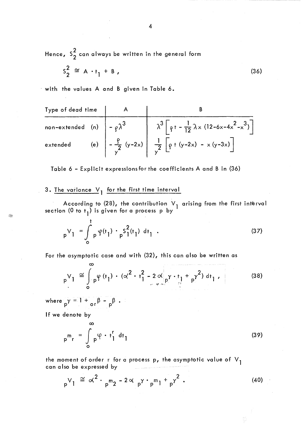Hence,  $S_2^2$  can always be written in the general form

$$
s_2^2 \cong A \cdot t_1 + B \tag{36}
$$

with the values  $A$  and  $B$  given in Table 6.

Type of dead time  
\nnon-extended (n)  
\nextended (e)  
\n
$$
-\frac{\rho}{\gamma^2}
$$
  
\n $\lambda^3 \left[\rho + -\frac{1}{12}\lambda \times (12-6x-4x^2-x^3)\right]$   
\n $\frac{1}{\gamma^2} \left[\rho + (y-2x) - x(y-3x)\right]$ 

Table 6 - Explicit expressions for the coefficients A and B in (36)

## 3. The variance  $V_1$  for the first time interval

According to (28), the contribution  $V_1$  arising from the first interval section (0 to t<sub>1</sub>) is given for a process p by

$$
{}_{p}V_{1} = \int_{0}^{t} {}_{p}\varphi(t_{1}) \cdot {}_{p}S_{1}^{2}(t_{1}) dt_{1} . \qquad (37)
$$

For the asymptotic case and with (32), this can also be written as

00 V1 ppp *,....JJ.* <f(tl)·(o(2.t~-2o(y.tl+ y2) dt l' "1 P ~, "ft ,...... ' o ' (38)

where  $p^{\gamma} = 1 + \frac{\beta - p}{}$ .

If we denote by

Í.

$$
{}_{p}{}^{m}{}_{r} = \int_{0}^{\infty} {}_{p}{}^{\varphi} \cdot t_{1}^{r} dt_{1}
$$
 (39)

the moment of order r for a process p, the asymptotic value of  $V_1$ can also be expressed by

$$
y_{p}V_{1} \cong \alpha^{2} \cdot p_{p}m_{2} - 2 \alpha p_{p} \cdot p_{p}m_{1} + p_{p}^{2}.
$$
 (40)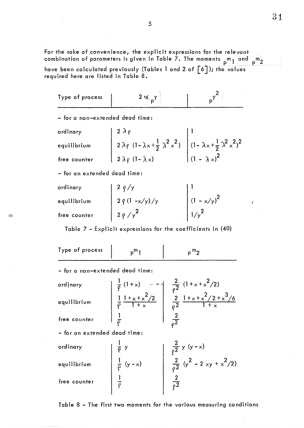For the sake of convenience, the explicit expressions for the relevant combination of parameters is given in Table 7. The moments  $p^m$  and  $p^m$ 2 have been calculated previously (Tables 1 and 2 of  $\lceil 6 \rceil$  ); the values required here are listed in Table 8.  $\,$ 

| Type of process | the contract of the contract of the contract of |  |
|-----------------|-------------------------------------------------|--|
|                 |                                                 |  |

- for a non-exte nded dead time:

| ordinary     | $12\lambda\rho$                                                                                                                           |                     |
|--------------|-------------------------------------------------------------------------------------------------------------------------------------------|---------------------|
| equilibrium  | $\left  2 \lambda_{\ell} (1 - \lambda_{x} + \frac{1}{2} \lambda^{2} x^{2}) \right  (1 - \lambda_{x} + \frac{1}{2} \lambda^{2} x^{2})^{2}$ |                     |
| free counter | $2 \lambda \rho (1-\lambda x)$                                                                                                            | $(1 - \lambda x)^2$ |

- for an extended dead time:

| ordinary     | 2 $\rho$ /y                               |               |
|--------------|-------------------------------------------|---------------|
| equilibrium  | $\Big  2 \frac{\rho}{\rho} (1 - x/y) / y$ | $(1 - x/y)^2$ |
| free counter | $2\rho/\gamma^2$                          | $1/\sqrt{2}$  |

Table 7 - Explicit expressions for the coefficients in (40)

| Type of process                 | $p^m$ 1                                                            | $p^{m}$                                                                                                                          |
|---------------------------------|--------------------------------------------------------------------|----------------------------------------------------------------------------------------------------------------------------------|
| - for a non-extended dead time: |                                                                    |                                                                                                                                  |
| ordinary                        |                                                                    |                                                                                                                                  |
| equilibrium                     |                                                                    |                                                                                                                                  |
| free counter                    |                                                                    |                                                                                                                                  |
| - for an extended dead time:    |                                                                    |                                                                                                                                  |
| ordinary                        |                                                                    |                                                                                                                                  |
| equilibrium                     |                                                                    | $\begin{array}{ c c } \hline \frac{2}{\rho^2} y (y-x) & \\ \hline \frac{2}{\rho^2} (y^2 - 2 xy + x^2/2) & \\ \hline \end{array}$ |
| free counter                    | $\frac{1}{\rho}$ y<br>$\frac{1}{\rho}$ (y - x)<br>$\frac{1}{\rho}$ | $rac{2}{\rho^2}$                                                                                                                 |
|                                 |                                                                    |                                                                                                                                  |

Table 8 - The first two moments for the various measuring conditions

31

Ĭ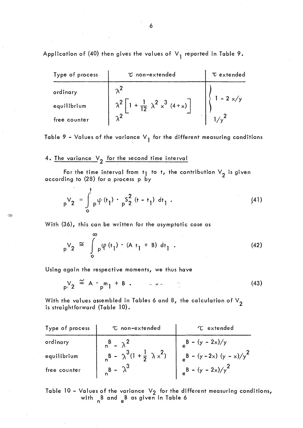Application of (40) then gives the values of  $V<sub>1</sub>$  reported in Table 9.

| Type of process | $\tau$ non-extended                                             | <b>T</b> extended |
|-----------------|-----------------------------------------------------------------|-------------------|
| ordinary        |                                                                 |                   |
| equilibrium     | $\lambda^2$ $\left[1 + \frac{1}{12} \lambda^2 x^3 (4+x)\right]$ | $-2 \times/y$     |
| free counter    | $\mathcal{L}$                                                   |                   |

Table 9 - Values of the variance  $V_1$  for the different measuring conditions

## 4. The variance  $V_2$  for the second time interval

For the time interval from  $t_1$  to t, the contribution  $V_2$  is given according to (28) for a process p by

$$
{}_{p}V_{2} = \int_{0}^{t} {}_{p}\phi(t_{1}) \cdot {}_{p}S_{2}^{2} (t - t_{1}) dt_{1} .
$$
 (41)

With (36), this con be written for the asymptotic case as

$$
{}_{p}V_{2} \cong \int_{0}^{\infty} {}_{p}\varphi(t_{1}) \cdot (A t_{1} + B) dt_{1} . \qquad (42)
$$

Using again the respective moments, we thus have

$$
P_{\mathbf{p}} \mathbf{y}_2 \cong \mathbf{A} \cdot P_{\mathbf{p}} \mathbf{m}_1 + \mathbf{B} \tag{43}
$$

With the values assembled in Tables 6 and 8, the calculation of  $\vee_2$  is straightforward (Table 10).

| Type of process | C non-extended                                  | <b>T</b> extended             |
|-----------------|-------------------------------------------------|-------------------------------|
| ordinary        | $n^B - \lambda^2$                               | $B - (y - 2x)/y$              |
| equilibrium     | $R_B - \lambda^3 (1 + \frac{1}{2} \lambda x^2)$ | $B - (y - 2x) (y - x)/y^2$    |
| free counter    | $B - \lambda^3$                                 | $\frac{1}{e}B - (y - 2x)/y^2$ |

Table 10 - Values of the variance  $V_2$  for the different measuring conditions, with <sub>n</sub>B and <sub>e</sub>B as given in Table 6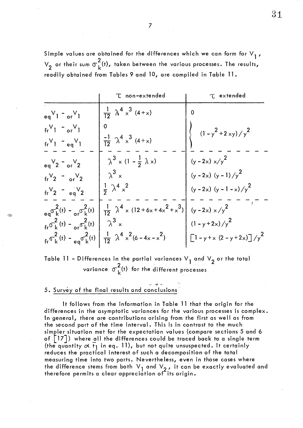Simple values are obtained for the differences which we can form for  $V_1$ ,  $V_2$  or their sum  $\sigma_k^2$ (t), taken between the various processes. The results, readily obtained from Tables 9 and 10, are compiled in Table 11.

|                                                                                                  | T non-extended                                                                                                                                               | <b>T</b> extended                         |
|--------------------------------------------------------------------------------------------------|--------------------------------------------------------------------------------------------------------------------------------------------------------------|-------------------------------------------|
| $eqV_1 - orV_1$                                                                                  | $\frac{1}{12}$ $\lambda^4 \times^3$ (4+x)                                                                                                                    | 0                                         |
| $fr^V1$ - $or^V1$                                                                                | $\mathbf 0$                                                                                                                                                  | $(1 - y^2 + 2 xy) / y^2$                  |
| $fr^V1 - eq^V1$                                                                                  | $\frac{-1}{12}$ $\lambda^4 \times^3$ (4+x)                                                                                                                   |                                           |
| $eqV_2 - qV_2$                                                                                   | $\lambda^3 \times (1 - \frac{1}{2} \lambda x)$                                                                                                               | $(y - 2x) x/y^2$                          |
| $\text{tr}^{\vee}$ = $\text{er}^{\vee}$ 2                                                        | $\lambda^3$ x                                                                                                                                                | $(y - 2x) (y - 1) / y2$                   |
| $fr^V_2$ - $eq^V_2$                                                                              | $\frac{1}{2}$ $\lambda^4$ $\times^2$                                                                                                                         | $(y - 2x) (y - 1 - x) / y2$               |
|                                                                                                  | $_{eq} \sigma_k^2(t) - \frac{2}{\sigma_k^2(t)} \left  \frac{1}{12} \lambda^4 \times (12 + 6 \times 4 \times^2 + \times^3) \right $ (y - 2x) x/y <sup>2</sup> |                                           |
| $\int_{\text{fr}} \sigma_k^2(t) - \sigma_r \sigma_k^2(t) \left  \alpha \lambda^3 \right  \times$ |                                                                                                                                                              | $(1 - y + 2x)/y^2$                        |
|                                                                                                  | $\int_{\text{fr}} \sigma_k^2(t) - \frac{2}{e q} \sigma_k^2(t) \left  \frac{1}{12} \lambda^4 x^2 (6 - 4x - x^2) \right $                                      | $\left[1 - y + x (2 - y + 2x)\right]/y^2$ |

Table 11 - Differences in the partial variances  $V_1$  and  $V_2$  or the total variance  $\sigma_{\nu}^{2}(t)$  for the different processes

# 5. Survey of the final results and conclusions

It follows from the information in Table 11 that the origin for the differences in the asymptotic variances for the various processes is complex. ln general, there are contributions arising from the first as weil as from the second part of the time interval. This is in contrast to the much simpler situation met for the expectation values (compare sections 5 and 6 of  $\begin{bmatrix} 17 \end{bmatrix}$ ) where all the differences could be traced back to a single term (the quantity  $\alpha$   $t_1$  in eq. 11), but not quite unsuspected. It certainly reduces the practical interest of such a decomposition of the total measuring time into two parts. Nevertheless, even in those cases where the difference stems from both  $\vee_1$  and  $\vee_2$  , it can be exactly evaluated and therefore permits a clear appreciation of its origin.

31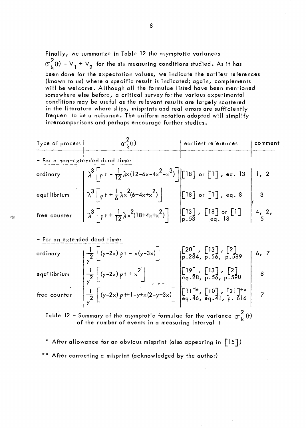Finally, we summarize in Table 12 the asymptotic variances  $\sigma_L^2(t) = V_1 + V_2$  for the six measuring conditions studied. As it has been done for the expectation values, we indicate the earliest references (known to us) where a specifie result is indicated; again, complements will be welcome. Although ail the formulae listed have been mentioned somewhere else before, a critical survey forthe various experimental conditions may be useful as the relevant results are largely scattered in the literafure where slips, misprints and real errors are sufficiently Frequent to be a nuisance. The uniform notation adopted will simplify intercomparisons and perhaps encourage further studies.

| Type of process              | $\sigma_L^2(t)$                                                                                                                                                                                                                                                                                                                                                                            | earliest references | comment |
|------------------------------|--------------------------------------------------------------------------------------------------------------------------------------------------------------------------------------------------------------------------------------------------------------------------------------------------------------------------------------------------------------------------------------------|---------------------|---------|
|                              | - For a non-extended dead time:                                                                                                                                                                                                                                                                                                                                                            |                     |         |
|                              |                                                                                                                                                                                                                                                                                                                                                                                            |                     |         |
|                              | ordinary<br>and $\lambda^3 \left[ \rho + -\frac{1}{12} \lambda \times (12 - 6 \times -4 \times^2 - \times^3) \right]$ [18] or [1], eq. 13 1, 2<br>equilibrium<br>free counter<br>$\lambda^3 \left[ \rho + +\frac{1}{6} \lambda \times^2 (6 + 4 \times + \times^2) \right]$ [18] or [1], eq. 8<br>$\left[ \lambda^3 \left[ \rho + +\frac{1}{12} \lambda \times^2 (18 + 4 \times + \times^2$ |                     |         |
|                              |                                                                                                                                                                                                                                                                                                                                                                                            |                     |         |
| - For an extended dead time: | ordinary $1 - \left[\left(y-2x\right) + \left(y-3x\right)\right]$ $\left[\left[20\right], \left[13\right], \left[2\right]$ $\left[6, 7\right]$                                                                                                                                                                                                                                             |                     |         |

ordinary  
\nequilibrium  
\nfree counter  
\n
$$
\frac{1}{y^{2}}[(y-2x) \rho t - x(y-3x)]
$$
\n
$$
\frac{1}{y^{2}}[(y-2x) \rho t + x^{2}]
$$
\n
$$
\frac{1}{y^{2}}[(y-2x) \rho t + x^{2}]
$$
\n
$$
\frac{1}{y^{2}}[(y-2x) \rho t + x^{2}]
$$
\n
$$
\frac{1}{y^{2}}[(y-2x) \rho t + 1 - y + x(2-y+3x)]
$$
\n
$$
\frac{1}{y^{2}}[(11)^{*}, [10], [21]^{**}]
$$
\n
$$
[21]^{**}
$$
\n
$$
[21]^{**}
$$
\n
$$
[7]
$$

Table 12 - Summary of the asymptotic formulae for the variance  $\sigma_L^2$  (t) of the number of events in a measuring interval t

\* After allowance for an obvious misprint (also appearing in [15]) \*\* After correcting a misprint (acknowledged by the author)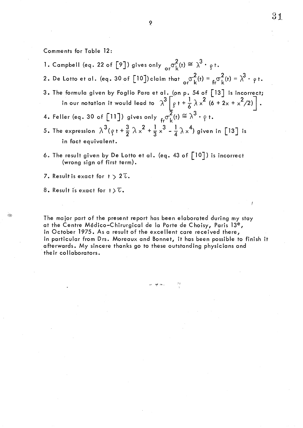Comme nts for Table 12:

- 1. Campbell (eq. 22 of [9]) gives only  $\sigma_{\rm r}^2(t) \cong \lambda^3 \cdot \rho t$ .
- 2. De Lotto et al. (eq. 30 of [10])claim that  $\sigma_r^2(t) = \frac{2}{fr}\sigma_L^2(t) = \lambda^3 \cdot \rho t$ .
- 3. The formula given by Foglio Para et al. (on p. 54 of [13] is incorrect; formula given by Foglio Para et al. (on p. 54 of [13] is incorrect;<br>in our notation it would lead to  $\lambda^3 \left[ g + \frac{1}{6} \lambda \times^2 (6 + 2x + \times^2/2) \right]$ .
- 4. Feller (eq. 30 of [11]) gives only  $_{\mathsf{fr}}\sigma_{\rm L}^2(\mathsf{f})\cong\lambda^3\cdot \mathsf{g}$  t.
- 5. The expression  $\lambda^{3}(\rho + \frac{3}{2}\lambda x^{2} + \frac{1}{3}x^{3} \frac{1}{4}\lambda x^{4})$  given in [13] is in fact equivalent.
- 6. The result given by De Lotto et al. (eq. 43 of  $\lceil 10 \rceil$ ) is incorrect (wrong sign of first term).
- 7. Result is exact for  $t > 2\tau$ .

8. Result is exact for  $t > \mathcal{U}$ .

The major part of the present report has been elaborated during my stay at the Centre Médico-Chirurgical de la Porte de Choisy, Paris 13<sup>e</sup>, in October 1975. As a result of the excellent care received there, in particular from Drs. Moreaux and Bonnet, it has been possible to finish it afterwards. My sincere thanks go to these outstanding physicians and . their collaborators.

-,' PIt ,""fi ••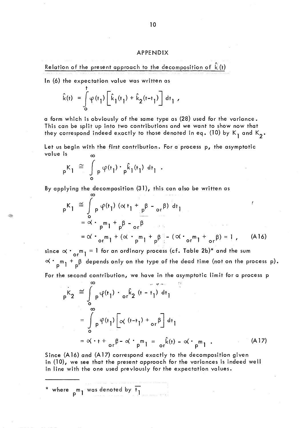#### APPENDIX

Relation of the present approach to the decomposition of 
$$
\hat{k}(t)
$$

ln (6) the expectation value was written as

$$
\hat{k}(t) = \int_{0}^{t} \varphi(t_1) \left[ \hat{k}_1(t_1) + \hat{k}_2(t-t_1) \right] dt_1,
$$

a form which is obviously of the same type as (28) used for the variance. This can be split up into two contributions and we want to show now that they correspond indeed exactly to those denoted in eq. (10) by  $K_1$  and  $K_2$ .

Let us begin with the first contribution. For a process p, the asymptotic va lue is

$$
{}_{p}K_{1} \cong \int_{0}^{\infty} {}_{p}\varphi(t_{1}) \cdot {}_{p}\hat{k}_{1}(t_{1}) dt_{1} .
$$

By applying the decomposition (31), this can also be written as

$$
{}_{p}K_{1} \cong \int_{0}^{\infty} {}_{p}\varphi(t_{1}) (\alpha t_{1} + {}_{p}\beta - {}_{or}\beta) dt_{1}
$$
  
\n
$$
= \alpha \cdot {}_{p}m_{1} + {}_{p}\beta - {}_{or}\beta
$$
  
\n
$$
= \alpha \cdot {}_{or}m_{1} + (\alpha \cdot {}_{p}m_{1} + {}_{p}\beta) - (\alpha \cdot {}_{or}m_{1} + {}_{or}\beta) = 1, \quad (A16)
$$

since  $\propto$   $\cdot$   $_{\sf or}$   $_{\sf n}$  = 1 for an ordinary process (cf. Table 2b)\* and the sum  $\alpha \cdot m_1 + \beta$  depends only on the type of the dead time (not on the process p).

For the second contribution, we have in the asymptotic limit for a process p

$$
{}_{p}K_{2} \cong \int_{0}^{\infty} {}_{p}\varphi(t_{1}) \cdot {}_{o}F_{2} (t - t_{1}) dt_{1}
$$
  

$$
= \int_{0}^{\infty} {}_{p}\varphi(t_{1}) \left[ \propto (t - t_{1}) + {}_{o}F_{1} \right] dt_{1}
$$
  

$$
= \propto t + {}_{o}F_{1} \propto t \cdot {}_{p}m_{1} = {}_{o}F_{1} (t) - \propto t \cdot {}_{p}m_{1} .
$$
 (A17)

Since (A 16) and (A 17) correspond exactly to the decomposition given in (10), we see that the present approach for the variances is indeed well in line with the one used previously for the expectation values.

\* where  $\begin{smallmatrix} \texttt{pm} & \texttt{pm} \ \texttt{pm} & \texttt{pm} \end{smallmatrix}$  was denoted by  $\begin{smallmatrix} \texttt{t} \ \texttt{m} \end{smallmatrix}$